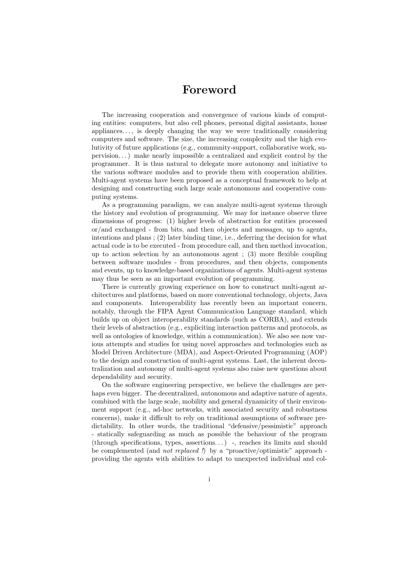## Foreword

The increasing cooperation and convergence of various kinds of computing entities: computers, but also cell phones, personal digital assistants, house appliances. . . , is deeply changing the way we were traditionally considering computers and software. The size, the increasing complexity and the high evolutivity of future applications (e.g., community-support, collaborative work, supervision. . . ) make nearly impossible a centralized and explicit control by the programmer. It is thus natural to delegate more autonomy and initiative to the various software modules and to provide them with cooperation abilities. Multi-agent systems have been proposed as a conceptual framework to help at designing and constructing such large scale autonomous and cooperative computing systems.

As a programming paradigm, we can analyze multi-agent systems through the history and evolution of programming. We may for instance observe three dimensions of progress: (1) higher levels of abstraction for entities processed or/and exchanged - from bits, and then objects and messages, up to agents, intentions and plans ; (2) later binding time, i.e., deferring the decision for what actual code is to be executed - from procedure call, and then method invocation, up to action selection by an autonomous agent ; (3) more flexible coupling between software modules - from procedures, and then objects, components and events, up to knowledge-based organizations of agents. Multi-agent systems may thus be seen as an important evolution of programming.

There is currently growing experience on how to construct multi-agent architectures and platforms, based on more conventional technology, objects, Java and components. Interoperability has recently been an important concern, notably, through the FIPA Agent Communication Language standard, which builds up on object interoperability standards (such as CORBA), and extends their levels of abstraction (e.g., expliciting interaction patterns and protocols, as well as ontologies of knowledge, within a communication). We also see now various attempts and studies for using novel approaches and technologies such as Model Driven Architecture (MDA), and Aspect-Oriented Programming (AOP) to the design and construction of multi-agent systems. Last, the inherent decentralization and autonomy of multi-agent systems also raise new questions about dependability and security.

On the software engineering perspective, we believe the challenges are perhaps even bigger. The decentralized, autonomous and adaptive nature of agents, combined with the large scale, mobility and general dynamicity of their environment support (e.g., ad-hoc networks, with associated security and robustness concerns), make it difficult to rely on traditional assumptions of software predictability. In other words, the traditional "defensive/pessimistic" approach - statically safeguarding as much as possible the behaviour of the program  $(through specifications, types, assertions...)$  -, reaches its limits and should be complemented (and *not replaced !*) by a "proactive/optimistic" approach providing the agents with abilities to adapt to unexpected individual and col